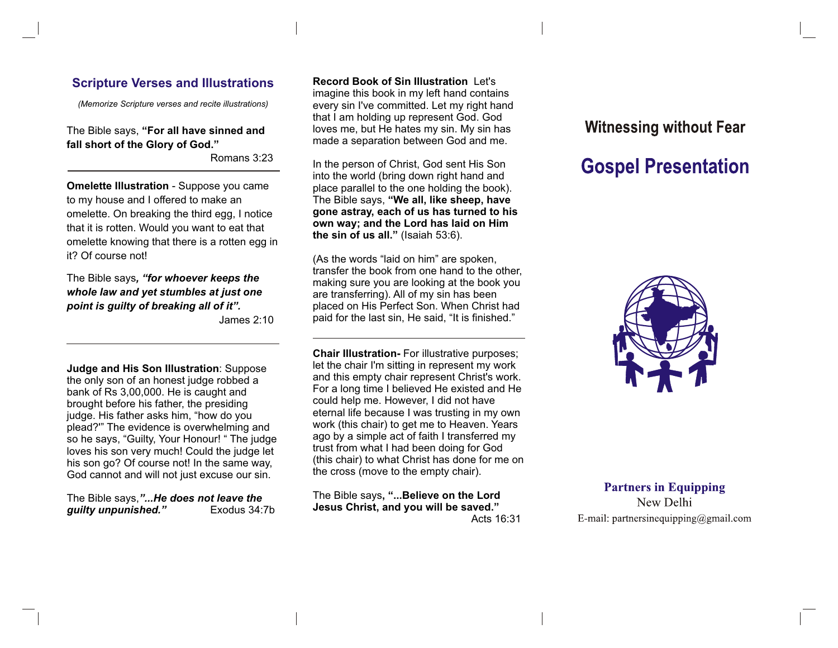#### **Scripture Verses and Illustrations**

*(Memorize Scripture verses and recite illustrations)*

The Bible says, **"For all have sinned and fall short of the Glory of God."** 

Romans 3:23

**Omelette Illustration** - Suppose you came to my house and I offered to make an omelette. On breaking the third egg, I notice that it is rotten. Would you want to eat that omelette knowing that there is a rotten egg in it? Of course not!

The Bible says*, "for whoever keeps the whole law and yet stumbles at just one point is guilty of breaking all of it".* 

James 2:10

**Judge and His Son Illustration**: Suppose the only son of an honest judge robbed a bank of Rs 3,00,000. He is caught and brought before his father, the presiding judge. His father asks him, "how do you plead?'" The evidence is overwhelming and so he says, "Guilty, Your Honour! " The judge loves his son very much! Could the judge let his son go? Of course not! In the same way, God cannot and will not just excuse our sin.

The Bible says,*"...He does not leave the guilty unpunished."* Exodus 34:7b **Record Book of Sin Illustration** Let's imagine this book in my left hand contains every sin I've committed. Let my right hand that I am holding up represent God. God loves me, but He hates my sin. My sin has made a separation between God and me.

In the person of Christ, God sent His Son into the world (bring down right hand and place parallel to the one holding the book). The Bible says, **"We all, like sheep, have gone astray, each of us has turned to his own way; and the Lord has laid on Him the sin of us all."** (Isaiah 53:6).

(As the words "laid on him" are spoken, transfer the book from one hand to the other, making sure you are looking at the book you are transferring). All of my sin has been placed on His Perfect Son. When Christ had paid for the last sin, He said, "It is finished."

**Chair Illustration-** For illustrative purposes; let the chair I'm sitting in represent my work and this empty chair represent Christ's work. For a long time I believed He existed and He could help me. However, I did not have eternal life because I was trusting in my own work (this chair) to get me to Heaven. Years ago by a simple act of faith I transferred my trust from what I had been doing for God (this chair) to what Christ has done for me on the cross (move to the empty chair).

The Bible says**, "...Believe on the Lord Jesus Christ, and you will be saved."** Acts 16:31

## **Witnessing without Fear**

# **Gospel Presentation**



#### **Partners in Equipping**

New Delhi E-mail: partnersinequipping@gmail.com